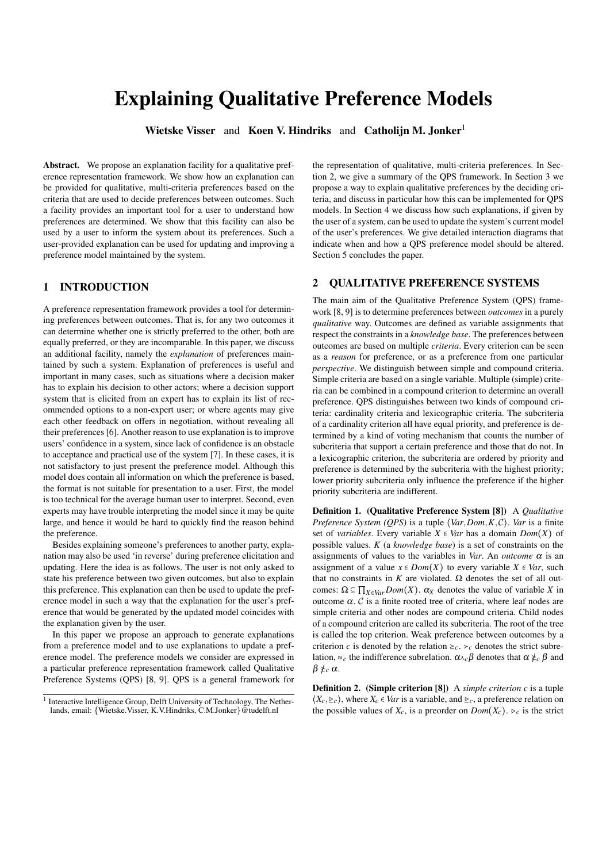# Explaining Qualitative Preference Models

Wietske Visser and Koen V. Hindriks and Catholijn M. Jonker<sup>1</sup>

Abstract. We propose an explanation facility for a qualitative preference representation framework. We show how an explanation can be provided for qualitative, multi-criteria preferences based on the criteria that are used to decide preferences between outcomes. Such a facility provides an important tool for a user to understand how preferences are determined. We show that this facility can also be used by a user to inform the system about its preferences. Such a user-provided explanation can be used for updating and improving a preference model maintained by the system.

# 1 INTRODUCTION

A preference representation framework provides a tool for determining preferences between outcomes. That is, for any two outcomes it can determine whether one is strictly preferred to the other, both are equally preferred, or they are incomparable. In this paper, we discuss an additional facility, namely the *explanation* of preferences maintained by such a system. Explanation of preferences is useful and important in many cases, such as situations where a decision maker has to explain his decision to other actors; where a decision support system that is elicited from an expert has to explain its list of recommended options to a non-expert user; or where agents may give each other feedback on offers in negotiation, without revealing all their preferences [6]. Another reason to use explanation is to improve users' confidence in a system, since lack of confidence is an obstacle to acceptance and practical use of the system [7]. In these cases, it is not satisfactory to just present the preference model. Although this model does contain all information on which the preference is based, the format is not suitable for presentation to a user. First, the model is too technical for the average human user to interpret. Second, even experts may have trouble interpreting the model since it may be quite large, and hence it would be hard to quickly find the reason behind the preference.

Besides explaining someone's preferences to another party, explanation may also be used 'in reverse' during preference elicitation and updating. Here the idea is as follows. The user is not only asked to state his preference between two given outcomes, but also to explain this preference. This explanation can then be used to update the preference model in such a way that the explanation for the user's preference that would be generated by the updated model coincides with the explanation given by the user.

In this paper we propose an approach to generate explanations from a preference model and to use explanations to update a preference model. The preference models we consider are expressed in a particular preference representation framework called Qualitative Preference Systems (QPS) [8, 9]. QPS is a general framework for

the representation of qualitative, multi-criteria preferences. In Section 2, we give a summary of the QPS framework. In Section 3 we propose a way to explain qualitative preferences by the deciding criteria, and discuss in particular how this can be implemented for QPS models. In Section 4 we discuss how such explanations, if given by the user of a system, can be used to update the system's current model of the user's preferences. We give detailed interaction diagrams that indicate when and how a QPS preference model should be altered. Section 5 concludes the paper.

## 2 QUALITATIVE PREFERENCE SYSTEMS

The main aim of the Qualitative Preference System (QPS) framework [8, 9] is to determine preferences between *outcomes* in a purely *qualitative* way. Outcomes are defined as variable assignments that respect the constraints in a *knowledge base*. The preferences between outcomes are based on multiple *criteria*. Every criterion can be seen as a *reason* for preference, or as a preference from one particular *perspective*. We distinguish between simple and compound criteria. Simple criteria are based on a single variable. Multiple (simple) criteria can be combined in a compound criterion to determine an overall preference. QPS distinguishes between two kinds of compound criteria: cardinality criteria and lexicographic criteria. The subcriteria of a cardinality criterion all have equal priority, and preference is determined by a kind of voting mechanism that counts the number of subcriteria that support a certain preference and those that do not. In a lexicographic criterion, the subcriteria are ordered by priority and preference is determined by the subcriteria with the highest priority; lower priority subcriteria only influence the preference if the higher priority subcriteria are indifferent.

Definition 1. (Qualitative Preference System [8]) A *Qualitative Preference System (QPS)* is a tuple ⟨*Var*,*Dom*,*K*,C⟩. *Var* is a finite set of *variables*. Every variable  $X \in Var$  has a domain  $Dom(X)$  of possible values. *K* (a *knowledge base*) is a set of constraints on the assignments of values to the variables in *Var*. An *outcome*  $\alpha$  is an assignment of a value  $x \in Dom(X)$  to every variable  $X \in Var$ , such that no constraints in *K* are violated. Ω denotes the set of all outcomes:  $\Omega \subseteq \prod_{X \in Var} Dom(X)$ .  $\alpha_X$  denotes the value of variable *X* in outcome α. C is a finite rooted tree of criteria, where leaf nodes are simple criteria and other nodes are compound criteria. Child nodes of a compound criterion are called its subcriteria. The root of the tree is called the top criterion. Weak preference between outcomes by a criterion *c* is denoted by the relation  $\geq_c$ .  $\geq_c$  denotes the strict subrelation,  $\approx_c$  the indifference subrelation.  $\alpha \wedge_c \beta$  denotes that  $\alpha \nleq_c \beta$  and  $β \nlessc \alpha$ .

Definition 2. (Simple criterion [8]) A *simple criterion c* is a tuple  $\langle X_c, \geq_c \rangle$ , where  $X_c \in Var$  is a variable, and  $\geq_c$ , a preference relation on the possible values of  $X_c$ , is a preorder on  $Dom(X_c)$ .  $\gtrsim_c$  is the strict

<sup>&</sup>lt;sup>1</sup> Interactive Intelligence Group, Delft University of Technology, The Netherlands, email: {Wietske.Visser, K.V.Hindriks, C.M.Jonker}@tudelft.nl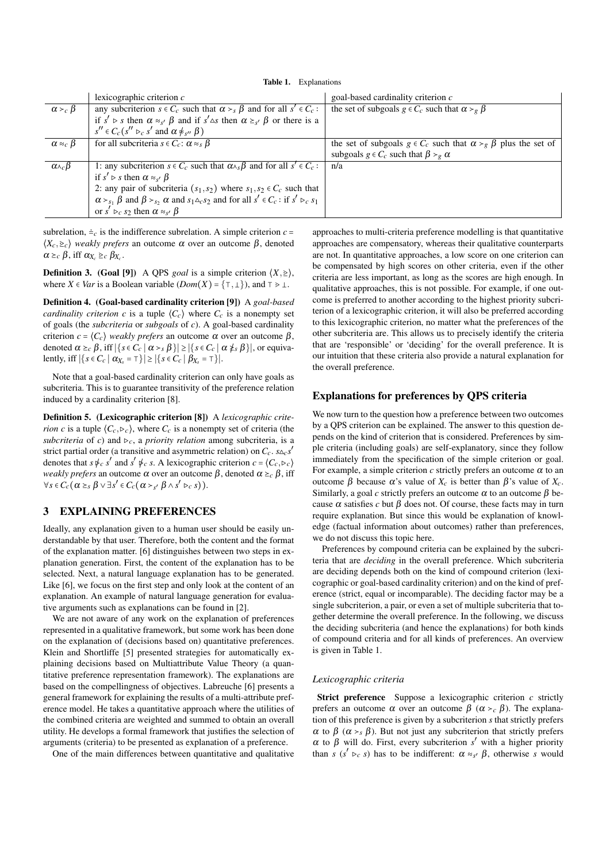|                              | lexicographic criterion $c$                                                                                                                                                                                | goal-based cardinality criterion $c$                                         |
|------------------------------|------------------------------------------------------------------------------------------------------------------------------------------------------------------------------------------------------------|------------------------------------------------------------------------------|
| $\alpha >_{c} \beta$         | any subcriterion $s \in C_c$ such that $\alpha > s \beta$ and for all $s' \in C_c$ :                                                                                                                       | the set of subgoals $g \in C_c$ such that $\alpha >_{g} \beta$               |
|                              | if $s' \triangleright s$ then $\alpha \approx_{s'} \beta$ and if $s' \triangle s$ then $\alpha \succeq_{s'} \beta$ or there is a                                                                           |                                                                              |
|                              | $s'' \in C_c(s'' \rhd_c s'$ and $\alpha \neq_{s''} \beta$ )                                                                                                                                                |                                                                              |
| $\alpha \approx_c \beta$     | for all subcriteria $s \in C_c$ : $\alpha \approx_s \beta$                                                                                                                                                 | the set of subgoals $g \in C_c$ such that $\alpha > g \beta$ plus the set of |
|                              |                                                                                                                                                                                                            | subgoals $g \in C_c$ such that $\beta >_{g} \alpha$                          |
| $\alpha_{\lambda_c}$ $\beta$ | 1: any subcriterion $s \in C_c$ such that $\alpha_{\lambda s} \beta$ and for all $s' \in C_c$ :                                                                                                            | n/a                                                                          |
|                              | if $s' \triangleright s$ then $\alpha \approx_{s'} \beta$                                                                                                                                                  |                                                                              |
|                              |                                                                                                                                                                                                            |                                                                              |
|                              | 2: any pair of subcriteria $(s_1, s_2)$ where $s_1, s_2 \in C_c$ such that $\alpha > s_1 \beta$ and $\beta > s_2 \alpha$ and $s_1 \triangle_c s_2$ and for all $s' \in C_c$ : if $s' \triangleright_c s_1$ |                                                                              |
|                              | or $s' \rhd_c s_2$ then $\alpha \approx_{s'} \beta$                                                                                                                                                        |                                                                              |

subrelation,  $\dot{=}c$  is the indifference subrelation. A simple criterion  $c =$  $\langle X_c, \geq_c \rangle$  *weakly prefers* an outcome  $\alpha$  over an outcome  $\beta$ , denoted  $\alpha \geq_c \beta$ , iff  $\alpha_{X_c} \geq_c \beta_{X_c}$ .

**Definition 3.** (Goal [9]) A QPS *goal* is a simple criterion  $\langle X, \geq \rangle$ , where *X*  $\in$  *Var* is a Boolean variable (*Dom*(*X*) = { $\tau$ ,  $\bot$ }), and  $\tau$  >  $\bot$ .

Definition 4. (Goal-based cardinality criterion [9]) A *goal-based cardinality criterion c* is a tuple  $\langle C_c \rangle$  where  $C_c$  is a nonempty set of goals (the *subcriteria* or *subgoals* of *c*). A goal-based cardinality criterion *c* =  $\langle C_c \rangle$  *weakly prefers* an outcome α over an outcome β, denoted  $\alpha \geq_c \beta$ , iff  $|\{s \in C_c \mid \alpha >_s \beta\}| \geq |\{s \in C_c \mid \alpha \neq_s \beta\}|$ , or equivalently, iff ∣{*s* ∈*C<sup>c</sup>* ∣ α*X<sup>s</sup>* = ⊺}∣ ≥ ∣{*s* ∈*C<sup>c</sup>* ∣ β*X<sup>s</sup>* = ⊺}∣.

Note that a goal-based cardinality criterion can only have goals as subcriteria. This is to guarantee transitivity of the preference relation induced by a cardinality criterion [8].

Definition 5. (Lexicographic criterion [8]) A *lexicographic criterion c* is a tuple  $\langle C_c, \triangleright_c \rangle$ , where  $C_c$  is a nonempty set of criteria (the *subcriteria* of *c*) and  $\triangleright_c$ , a *priority relation* among subcriteria, is a strict partial order (a transitive and asymmetric relation) on  $C_c$ .  $s \triangle_c s'$ denotes that  $s \not\vdash_c s'$  and  $s' \not\vdash_c s$ . A lexicographic criterion  $c = \langle C_c, \triangleright_c \rangle$ *weakly prefers* an outcome  $\alpha$  over an outcome  $\beta$ , denoted  $\alpha \geq_c \beta$ , iff  $\forall s \in C_c(\alpha \geq_s \beta \vee \exists s' \in C_c(\alpha >_{s'} \beta \wedge s' \rhd_c s)).$ 

## 3 EXPLAINING PREFERENCES

Ideally, any explanation given to a human user should be easily understandable by that user. Therefore, both the content and the format of the explanation matter. [6] distinguishes between two steps in explanation generation. First, the content of the explanation has to be selected. Next, a natural language explanation has to be generated. Like [6], we focus on the first step and only look at the content of an explanation. An example of natural language generation for evaluative arguments such as explanations can be found in [2].

We are not aware of any work on the explanation of preferences represented in a qualitative framework, but some work has been done on the explanation of (decisions based on) quantitative preferences. Klein and Shortliffe [5] presented strategies for automatically explaining decisions based on Multiattribute Value Theory (a quantitative preference representation framework). The explanations are based on the compellingness of objectives. Labreuche [6] presents a general framework for explaining the results of a multi-attribute preference model. He takes a quantitative approach where the utilities of the combined criteria are weighted and summed to obtain an overall utility. He develops a formal framework that justifies the selection of arguments (criteria) to be presented as explanation of a preference.

One of the main differences between quantitative and qualitative

approaches to multi-criteria preference modelling is that quantitative approaches are compensatory, whereas their qualitative counterparts are not. In quantitative approaches, a low score on one criterion can be compensated by high scores on other criteria, even if the other criteria are less important, as long as the scores are high enough. In qualitative approaches, this is not possible. For example, if one outcome is preferred to another according to the highest priority subcriterion of a lexicographic criterion, it will also be preferred according to this lexicographic criterion, no matter what the preferences of the other subcriteria are. This allows us to precisely identify the criteria that are 'responsible' or 'deciding' for the overall preference. It is our intuition that these criteria also provide a natural explanation for the overall preference.

## Explanations for preferences by QPS criteria

We now turn to the question how a preference between two outcomes by a QPS criterion can be explained. The answer to this question depends on the kind of criterion that is considered. Preferences by simple criteria (including goals) are self-explanatory, since they follow immediately from the specification of the simple criterion or goal. For example, a simple criterion  $c$  strictly prefers an outcome  $\alpha$  to an outcome β because α's value of *Xc* is better than β's value of *Xc*. Similarly, a goal *c* strictly prefers an outcome  $\alpha$  to an outcome  $\beta$  because α satisfies *c* but β does not. Of course, these facts may in turn require explanation. But since this would be explanation of knowledge (factual information about outcomes) rather than preferences, we do not discuss this topic here.

Preferences by compound criteria can be explained by the subcriteria that are *deciding* in the overall preference. Which subcriteria are deciding depends both on the kind of compound criterion (lexicographic or goal-based cardinality criterion) and on the kind of preference (strict, equal or incomparable). The deciding factor may be a single subcriterion, a pair, or even a set of multiple subcriteria that together determine the overall preference. In the following, we discuss the deciding subcriteria (and hence the explanations) for both kinds of compound criteria and for all kinds of preferences. An overview is given in Table 1.

#### *Lexicographic criteria*

Strict preference Suppose a lexicographic criterion *c* strictly prefers an outcome α over an outcome  $β (α > c β)$ . The explanation of this preference is given by a subcriterion *s* that strictly prefers  $\alpha$  to  $\beta$  ( $\alpha >_{s} \beta$ ). But not just any subcriterion that strictly prefers  $\alpha$  to  $\beta$  will do. First, every subcriterion *s'* with a higher priority than *s* ( $s' \rhd c$  *s*) has to be indifferent:  $\alpha \approx s' \beta$ , otherwise *s* would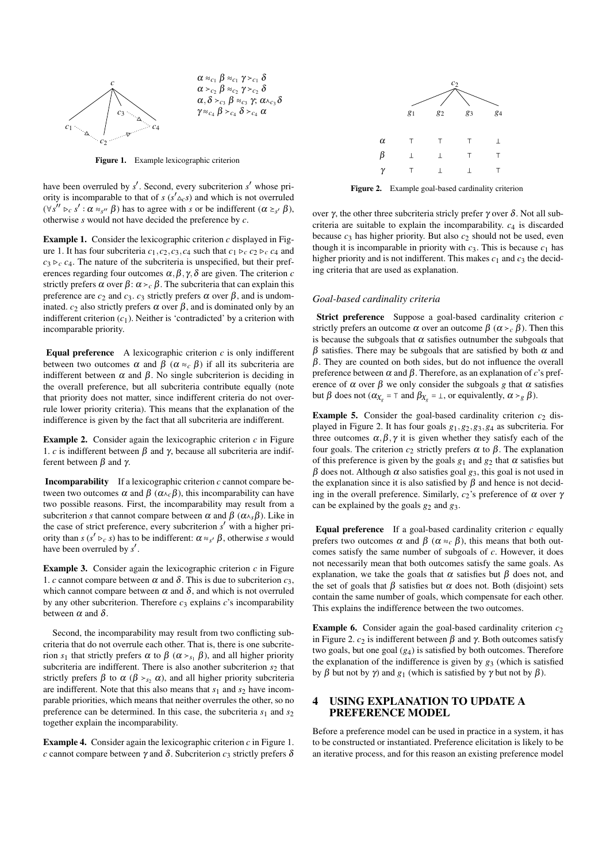

Figure 1. Example lexicographic criterion

have been overruled by *s'*. Second, every subcriterion *s'* whose priority is incomparable to that of *s* ( $s' \triangle_{c} s$ ) and which is not overruled  $(\forall s'' \triangleright_c s' : \alpha \approx_{s''} \beta)$  has to agree with *s* or be indifferent  $(\alpha \geq_{s'} \beta)$ , otherwise *s* would not have decided the preference by *c*.

Example 1. Consider the lexicographic criterion *c* displayed in Figure 1. It has four subcriteria  $c_1$ ,  $c_2$ ,  $c_3$ ,  $c_4$  such that  $c_1$   $\triangleright_c$   $c_2$   $\triangleright_c$   $c_4$  and  $c_3 \rhd_c c_4$ . The nature of the subcriteria is unspecified, but their preferences regarding four outcomes  $\alpha$ ,  $\beta$ ,  $\gamma$ ,  $\delta$  are given. The criterion *c* strictly prefers  $\alpha$  over  $\beta$ :  $\alpha >_{c} \beta$ . The subcriteria that can explain this preference are  $c_2$  and  $c_3$ .  $c_3$  strictly prefers  $\alpha$  over  $\beta$ , and is undominated.  $c_2$  also strictly prefers  $\alpha$  over  $\beta$ , and is dominated only by an indifferent criterion  $(c_1)$ . Neither is 'contradicted' by a criterion with incomparable priority.

**Equal preference** A lexicographic criterion  $c$  is only indifferent between two outcomes  $\alpha$  and  $\beta$  ( $\alpha \approx_c \beta$ ) if all its subcriteria are indifferent between  $\alpha$  and  $\beta$ . No single subcriterion is deciding in the overall preference, but all subcriteria contribute equally (note that priority does not matter, since indifferent criteria do not overrule lower priority criteria). This means that the explanation of the indifference is given by the fact that all subcriteria are indifferent.

**Example 2.** Consider again the lexicographic criterion  $c$  in Figure 1. *c* is indifferent between  $β$  and  $γ$ , because all subcriteria are indifferent between β and γ.

Incomparability If a lexicographic criterion *c* cannot compare between two outcomes  $\alpha$  and  $\beta$  ( $\alpha \wedge_c \beta$ ), this incomparability can have two possible reasons. First, the incomparability may result from a subcriterion *s* that cannot compare between  $\alpha$  and  $\beta$  ( $\alpha_{\lambda s}\beta$ ). Like in the case of strict preference, every subcriterion *s* ′ with a higher priority than  $s$  ( $s' \rhd c$  *s*) has to be indifferent:  $\alpha \approx_{s'} \beta$ , otherwise *s* would have been overruled by *s* ′ .

Example 3. Consider again the lexicographic criterion *c* in Figure 1. *c* cannot compare between  $\alpha$  and  $\delta$ . This is due to subcriterion  $c_3$ , which cannot compare between  $\alpha$  and  $\delta$ , and which is not overruled by any other subcriterion. Therefore  $c_3$  explains  $c$ 's incomparability between  $\alpha$  and  $\delta$ .

Second, the incomparability may result from two conflicting subcriteria that do not overrule each other. That is, there is one subcriterion *s*<sub>1</sub> that strictly prefers α to  $β$  ( $α >_{s_1} β$ ), and all higher priority subcriteria are indifferent. There is also another subcriterion  $s_2$  that strictly prefers  $\beta$  to  $\alpha$  ( $\beta >_{s_2} \alpha$ ), and all higher priority subcriteria are indifferent. Note that this also means that  $s_1$  and  $s_2$  have incomparable priorities, which means that neither overrules the other, so no preference can be determined. In this case, the subcriteria  $s_1$  and  $s_2$ together explain the incomparability.

Example 4. Consider again the lexicographic criterion *c* in Figure 1. *c* cannot compare between γ and δ. Subcriterion  $c_3$  strictly prefers δ



Figure 2. Example goal-based cardinality criterion

over γ, the other three subcriteria stricly prefer γ over δ. Not all subcriteria are suitable to explain the incomparability.  $c_4$  is discarded because *c*<sup>3</sup> has higher priority. But also *c*<sup>2</sup> should not be used, even though it is incomparable in priority with  $c_3$ . This is because  $c_1$  has higher priority and is not indifferent. This makes  $c_1$  and  $c_3$  the deciding criteria that are used as explanation.

### *Goal-based cardinality criteria*

Strict preference Suppose a goal-based cardinality criterion *c* strictly prefers an outcome  $\alpha$  over an outcome  $\beta$  ( $\alpha > c \beta$ ). Then this is because the subgoals that  $\alpha$  satisfies outnumber the subgoals that  $β$  satisfies. There may be subgoals that are satisfied by both  $α$  and  $\beta$ . They are counted on both sides, but do not influence the overall preference between  $\alpha$  and  $\beta$ . Therefore, as an explanation of *c*'s preference of  $\alpha$  over  $\beta$  we only consider the subgoals g that  $\alpha$  satisfies but *β* does not ( $α_{X_g} = ⊤$  and  $β_{X_g} = ⊥$ , or equivalently,  $α > g β$ ).

**Example 5.** Consider the goal-based cardinality criterion  $c_2$  displayed in Figure 2. It has four goals *g*1,*g*2,*g*3,*g*<sup>4</sup> as subcriteria. For three outcomes  $\alpha, \beta, \gamma$  it is given whether they satisfy each of the four goals. The criterion  $c_2$  strictly prefers  $\alpha$  to  $\beta$ . The explanation of this preference is given by the goals  $g_1$  and  $g_2$  that  $\alpha$  satisfies but β does not. Although α also satisfies goal *g*3, this goal is not used in the explanation since it is also satisfied by  $\beta$  and hence is not deciding in the overall preference. Similarly,  $c_2$ 's preference of  $\alpha$  over  $\gamma$ can be explained by the goals *g*<sup>2</sup> and *g*3.

Equal preference If a goal-based cardinality criterion *c* equally prefers two outcomes  $\alpha$  and  $\beta$  ( $\alpha \approx_c \beta$ ), this means that both outcomes satisfy the same number of subgoals of *c*. However, it does not necessarily mean that both outcomes satisfy the same goals. As explanation, we take the goals that  $\alpha$  satisfies but  $\beta$  does not, and the set of goals that  $\beta$  satisfies but  $\alpha$  does not. Both (disjoint) sets contain the same number of goals, which compensate for each other. This explains the indifference between the two outcomes.

Example 6. Consider again the goal-based cardinality criterion  $c_2$ in Figure 2.  $c_2$  is indifferent between  $β$  and  $γ$ . Both outcomes satisfy two goals, but one goal  $(g_4)$  is satisfied by both outcomes. Therefore the explanation of the indifference is given by  $g_3$  (which is satisfied by β but not by γ) and  $g_1$  (which is satisfied by γ but not by β).

## 4 USING EXPLANATION TO UPDATE A PREFERENCE MODEL

Before a preference model can be used in practice in a system, it has to be constructed or instantiated. Preference elicitation is likely to be an iterative process, and for this reason an existing preference model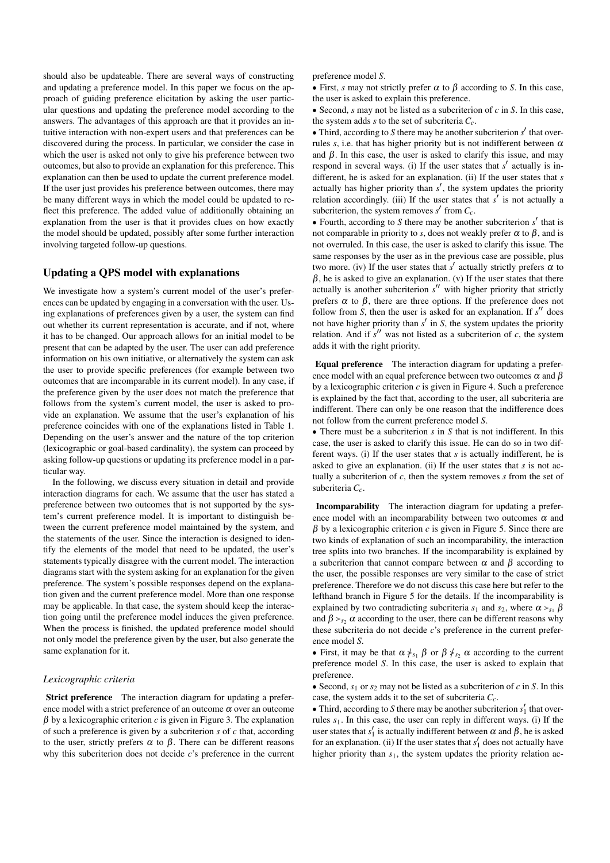should also be updateable. There are several ways of constructing and updating a preference model. In this paper we focus on the approach of guiding preference elicitation by asking the user particular questions and updating the preference model according to the answers. The advantages of this approach are that it provides an intuitive interaction with non-expert users and that preferences can be discovered during the process. In particular, we consider the case in which the user is asked not only to give his preference between two outcomes, but also to provide an explanation for this preference. This explanation can then be used to update the current preference model. If the user just provides his preference between outcomes, there may be many different ways in which the model could be updated to reflect this preference. The added value of additionally obtaining an explanation from the user is that it provides clues on how exactly the model should be updated, possibly after some further interaction involving targeted follow-up questions.

## Updating a QPS model with explanations

We investigate how a system's current model of the user's preferences can be updated by engaging in a conversation with the user. Using explanations of preferences given by a user, the system can find out whether its current representation is accurate, and if not, where it has to be changed. Our approach allows for an initial model to be present that can be adapted by the user. The user can add preference information on his own initiative, or alternatively the system can ask the user to provide specific preferences (for example between two outcomes that are incomparable in its current model). In any case, if the preference given by the user does not match the preference that follows from the system's current model, the user is asked to provide an explanation. We assume that the user's explanation of his preference coincides with one of the explanations listed in Table 1. Depending on the user's answer and the nature of the top criterion (lexicographic or goal-based cardinality), the system can proceed by asking follow-up questions or updating its preference model in a particular way.

In the following, we discuss every situation in detail and provide interaction diagrams for each. We assume that the user has stated a preference between two outcomes that is not supported by the system's current preference model. It is important to distinguish between the current preference model maintained by the system, and the statements of the user. Since the interaction is designed to identify the elements of the model that need to be updated, the user's statements typically disagree with the current model. The interaction diagrams start with the system asking for an explanation for the given preference. The system's possible responses depend on the explanation given and the current preference model. More than one response may be applicable. In that case, the system should keep the interaction going until the preference model induces the given preference. When the process is finished, the updated preference model should not only model the preference given by the user, but also generate the same explanation for it.

#### *Lexicographic criteria*

Strict preference The interaction diagram for updating a preference model with a strict preference of an outcome  $\alpha$  over an outcome  $β$  by a lexicographic criterion *c* is given in Figure 3. The explanation of such a preference is given by a subcriterion *s* of *c* that, according to the user, strictly prefers  $\alpha$  to  $\beta$ . There can be different reasons why this subcriterion does not decide *c*'s preference in the current preference model *S*.

 $\bullet$  First, *s* may not strictly prefer  $\alpha$  to  $\beta$  according to *S*. In this case, the user is asked to explain this preference.

• Second,  $s$  may not be listed as a subcriterion of  $c$  in  $S$ . In this case, the system adds *s* to the set of subcriteria *Cc*.

• Third, according to *S* there may be another subcriterion *s'* that overrules *s*, i.e. that has higher priority but is not indifferent between  $\alpha$ and  $\beta$ . In this case, the user is asked to clarify this issue, and may respond in several ways. (i) If the user states that  $s'$  actually is indifferent, he is asked for an explanation. (ii) If the user states that *s* actually has higher priority than  $s'$ , the system updates the priority relation accordingly. (iii) If the user states that  $s'$  is not actually a subcriterion, the system removes  $s'$  from  $C_c$ .

• Fourth, according to  $S$  there may be another subcriterion  $s'$  that is not comparable in priority to *s*, does not weakly prefer  $\alpha$  to  $\beta$ , and is not overruled. In this case, the user is asked to clarify this issue. The same responses by the user as in the previous case are possible, plus two more. (iv) If the user states that  $s'$  actually strictly prefers  $\alpha$  to  $\beta$ , he is asked to give an explanation. (v) If the user states that there actually is another subcriterion  $s''$  with higher priority that strictly prefers  $\alpha$  to  $\beta$ , there are three options. If the preference does not follow from *S*, then the user is asked for an explanation. If *s*<sup>*''*</sup> does not have higher priority than  $s'$  in  $S$ , the system updates the priority relation. And if  $s''$  was not listed as a subcriterion of  $c$ , the system adds it with the right priority.

Equal preference The interaction diagram for updating a preference model with an equal preference between two outcomes  $\alpha$  and  $\beta$ by a lexicographic criterion *c* is given in Figure 4. Such a preference is explained by the fact that, according to the user, all subcriteria are indifferent. There can only be one reason that the indifference does not follow from the current preference model *S*.

● There must be a subcriterion *s* in *S* that is not indifferent. In this case, the user is asked to clarify this issue. He can do so in two different ways. (i) If the user states that *s* is actually indifferent, he is asked to give an explanation. (ii) If the user states that *s* is not actually a subcriterion of *c*, then the system removes *s* from the set of subcriteria *Cc*.

Incomparability The interaction diagram for updating a preference model with an incomparability between two outcomes  $\alpha$  and  $β$  by a lexicographic criterion *c* is given in Figure 5. Since there are two kinds of explanation of such an incomparability, the interaction tree splits into two branches. If the incomparability is explained by a subcriterion that cannot compare between α and β according to the user, the possible responses are very similar to the case of strict preference. Therefore we do not discuss this case here but refer to the lefthand branch in Figure 5 for the details. If the incomparability is explained by two contradicting subcriteria  $s_1$  and  $s_2$ , where  $\alpha > s_1 \beta$ and  $\beta >_{s_2} \alpha$  according to the user, there can be different reasons why these subcriteria do not decide *c*'s preference in the current preference model *S*.

• First, it may be that  $\alpha \nless_{s_1} \beta$  or  $\beta \nless_{s_2} \alpha$  according to the current preference model *S*. In this case, the user is asked to explain that preference.

• Second,  $s_1$  or  $s_2$  may not be listed as a subcriterion of *c* in *S*. In this case, the system adds it to the set of subcriteria *Cc*.

• Third, according to *S* there may be another subcriterion  $s'_1$  that overrules *s*1. In this case, the user can reply in different ways. (i) If the user states that  $s'_1$  is actually indifferent between  $\alpha$  and  $\beta$ , he is asked for an explanation. (ii) If the user states that  $s'_1$  does not actually have higher priority than  $s_1$ , the system updates the priority relation ac-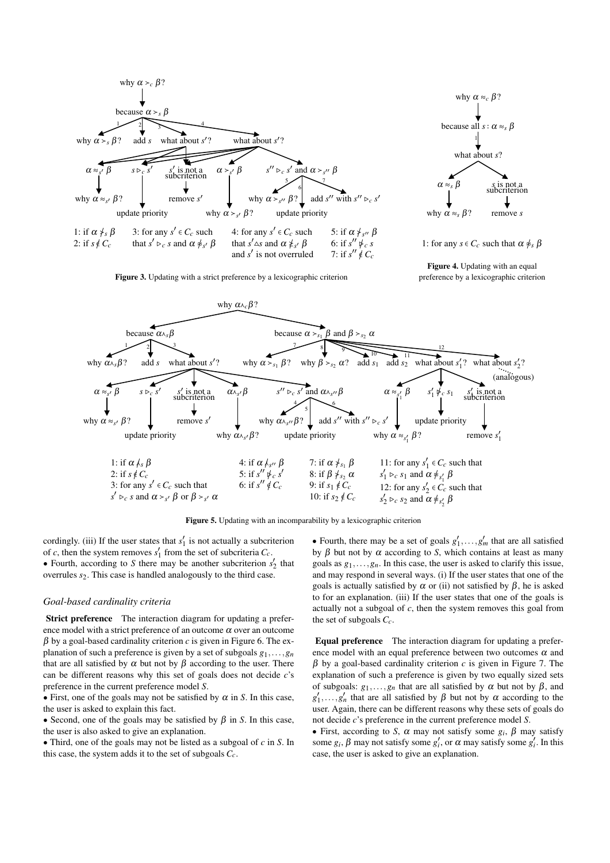



1: for any  $s \in C_c$  such that  $\alpha \nleq s \beta$ 

Figure 4. Updating with an equal Figure 3. Updating with a strict preference by a lexicographic criterion preference by a lexicographic criterion



Figure 5. Updating with an incomparability by a lexicographic criterion

cordingly. (iii) If the user states that  $s'_1$  is not actually a subcriterion of *c*, then the system removes  $s'_1$  from the set of subcriteria  $C_c$ . • Fourth, according to *S* there may be another subcriterion  $s_2$  that overrules *s*2. This case is handled analogously to the third case.

#### *Goal-based cardinality criteria*

Strict preference The interaction diagram for updating a preference model with a strict preference of an outcome  $\alpha$  over an outcome  $\beta$  by a goal-based cardinality criterion *c* is given in Figure 6. The explanation of such a preference is given by a set of subgoals  $g_1, \ldots, g_n$ that are all satisfied by  $\alpha$  but not by  $\beta$  according to the user. There can be different reasons why this set of goals does not decide *c*'s preference in the current preference model *S*.

• First, one of the goals may not be satisfied by  $\alpha$  in *S*. In this case, the user is asked to explain this fact.

• Second, one of the goals may be satisfied by  $\beta$  in *S*. In this case, the user is also asked to give an explanation.

● Third, one of the goals may not be listed as a subgoal of *c* in *S*. In this case, the system adds it to the set of subgoals *Cc*.

• Fourth, there may be a set of goals  $g'_1, \ldots, g'_m$  that are all satisfied by  $β$  but not by  $α$  according to *S*, which contains at least as many goals as  $g_1, \ldots, g_n$ . In this case, the user is asked to clarify this issue, and may respond in several ways. (i) If the user states that one of the goals is actually satisfied by  $\alpha$  or (ii) not satisfied by  $\beta$ , he is asked to for an explanation. (iii) If the user states that one of the goals is actually not a subgoal of *c*, then the system removes this goal from the set of subgoals *Cc*.

Equal preference The interaction diagram for updating a preference model with an equal preference between two outcomes  $\alpha$  and  $β$  by a goal-based cardinality criterion *c* is given in Figure 7. The explanation of such a preference is given by two equally sized sets of subgoals:  $g_1, \ldots, g_n$  that are all satisfied by  $\alpha$  but not by  $\beta$ , and  $g'_1, \ldots, g'_n$  that are all satisfied by  $\beta$  but not by  $\alpha$  according to the user. Again, there can be different reasons why these sets of goals do not decide *c*'s preference in the current preference model *S*.

• First, according to *S*,  $\alpha$  may not satisfy some  $g_i$ ,  $\beta$  may satisfy some  $g_i$ ,  $\beta$  may not satisfy some  $g'_i$ , or  $\alpha$  may satisfy some  $g'_i$ . In this case, the user is asked to give an explanation.